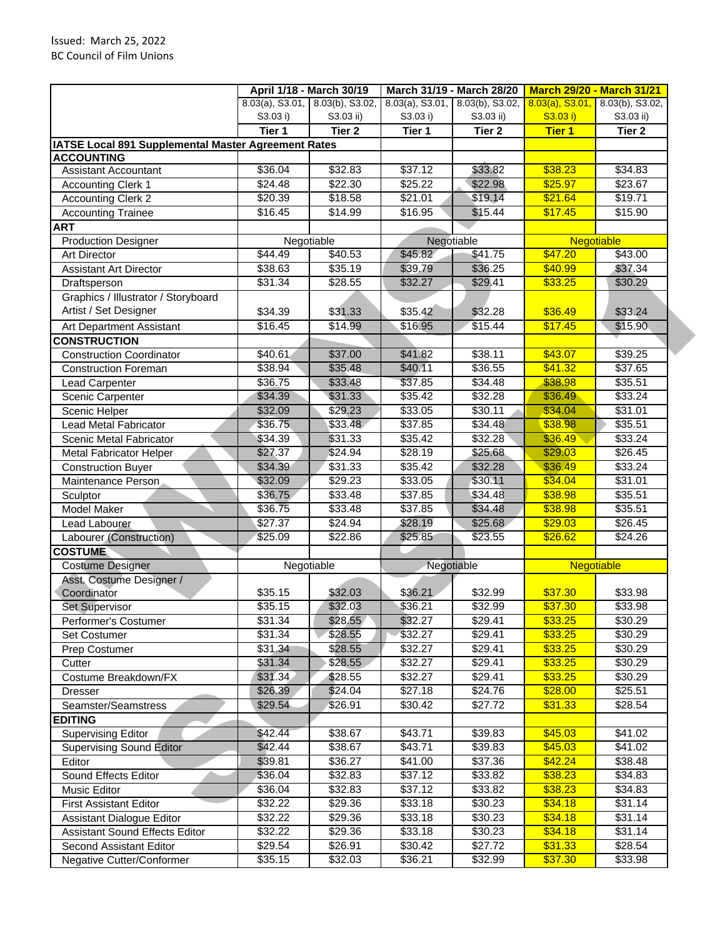|                                                     |                    | April 1/18 - March 30/19 | March 31/19 - March 28/20 |                                    |                    | <b>March 29/20 - March 31/21</b> |
|-----------------------------------------------------|--------------------|--------------------------|---------------------------|------------------------------------|--------------------|----------------------------------|
|                                                     | $8.03(a)$ , S3.01, | 8.03(b), S3.02,          |                           | $8.03(a)$ , S3.01, 8.03(b), S3.02, | $8.03(a)$ , S3.01, | 8.03(b), S3.02,                  |
|                                                     | S3.03 i)           | S3.03 ii)                | S3.03 i)                  | S3.03 ii)                          | S3.03 i)           | S3.03 ii)                        |
|                                                     | Tier 1             | Tier <sub>2</sub>        | Tier 1                    | Tier 2                             | <b>Tier 1</b>      | Tier <sub>2</sub>                |
| IATSE Local 891 Supplemental Master Agreement Rates |                    |                          |                           |                                    |                    |                                  |
| <b>ACCOUNTING</b>                                   |                    |                          |                           |                                    |                    |                                  |
| <b>Assistant Accountant</b>                         | \$36.04            | \$32.83                  | \$37.12                   | \$33.82                            | \$38.23            | $\overline{$}34.83$              |
| <b>Accounting Clerk 1</b>                           | \$24.48            | \$22.30                  | \$25.22                   | \$22.98                            | \$25.97            | \$23.67                          |
| <b>Accounting Clerk 2</b>                           | \$20.39            | \$18.58                  | \$21.01                   | \$19.14                            | \$21.64            | \$19.71                          |
| <b>Accounting Trainee</b>                           | \$16.45            | \$14.99                  | \$16.95                   | \$15.44                            | \$17.45            | \$15.90                          |
| <b>ART</b>                                          |                    |                          |                           |                                    |                    |                                  |
| <b>Production Designer</b>                          |                    | Negotiable               |                           | Negotiable                         | Negotiable         |                                  |
| <b>Art Director</b>                                 | \$44.49            | \$40.53                  | \$45.82                   | \$41.75                            | \$47.20            | \$43.00                          |
| <b>Assistant Art Director</b>                       | \$38.63            | \$35.19                  | \$39.79                   | \$36.25                            | \$40.99            | \$37.34                          |
| Draftsperson                                        | \$31.34            | \$28.55                  | \$32.27                   | \$29.41                            | \$33.25            | \$30.29                          |
| Graphics / Illustrator / Storyboard                 |                    |                          |                           |                                    |                    |                                  |
| Artist / Set Designer                               | \$34.39            | \$31.33                  | \$35.42                   | \$32.28                            | \$36.49            | \$33.24                          |
| Art Department Assistant                            | \$16.45            | \$14.99                  | \$16.95                   | \$15.44                            | \$17.45            | \$15.90                          |
| <b>CONSTRUCTION</b>                                 |                    |                          |                           |                                    |                    |                                  |
| <b>Construction Coordinator</b>                     | \$40.61            | \$37.00                  | \$41.82                   | \$38.11                            | \$43.07            | \$39.25                          |
| <b>Construction Foreman</b>                         | \$38.94            | \$35.48                  | \$40.11                   | \$36.55                            | \$41.32            | \$37.65                          |
| Lead Carpenter                                      | \$36.75            | \$33.48                  | \$37.85                   | \$34.48                            | \$38.98            | \$35.51                          |
| Scenic Carpenter                                    | \$34.39            | \$31.33                  | \$35.42                   | \$32.28                            | \$36.49            | \$33.24                          |
| Scenic Helper                                       | \$32.09            | \$29.23                  | \$33.05                   | \$30.11                            | \$34.04            | \$31.01                          |
| <b>Lead Metal Fabricator</b>                        | \$36.75            | \$33.48                  | \$37.85                   | \$34.48                            | \$38.98            | \$35.51                          |
| Scenic Metal Fabricator                             | \$34.39            | \$31.33                  | \$35.42                   | \$32.28                            | \$36.49            | \$33.24                          |
| <b>Metal Fabricator Helper</b>                      | \$27.37            | \$24.94                  | \$28.19                   | \$25.68                            | \$29.03            | $\sqrt{$26.45}$                  |
| <b>Construction Buyer</b>                           | \$34.39            | \$31.33                  | \$35.42                   | \$32.28                            | \$36.49            | \$33.24                          |
| Maintenance Person                                  | \$32.09            | \$29.23                  | \$33.05                   | \$30.11                            | \$34.04            | \$31.01                          |
| Sculptor                                            | \$36.75            | \$33.48                  | \$37.85                   | \$34.48                            | \$38.98            | \$35.51                          |
| Model Maker                                         | \$36.75            | \$33.48                  | \$37.85                   | \$34.48                            | \$38.98            | \$35.51                          |
| Lead Labourer                                       | \$27.37            | \$24.94                  | \$28.19                   | \$25.68                            | \$29.03            | \$26.45                          |
| Labourer (Construction)                             | \$25.09            | \$22.86                  | \$25.85                   | \$23.55                            | \$26.62            | \$24.26                          |
|                                                     |                    |                          |                           |                                    |                    |                                  |
| <b>COSTUME</b><br><b>Costume Designer</b>           |                    |                          |                           |                                    | <b>Negotiable</b>  |                                  |
| Asst. Costume Designer /                            |                    | Negotiable               | Negotiable                |                                    |                    |                                  |
| Coordinator                                         | \$35.15            | \$32.03                  | \$36.21                   | \$32.99                            | \$37.30            | \$33.98                          |
| <b>Set Supervisor</b>                               | \$35.15            | \$32.03                  | \$36.21                   | \$32.99                            | \$37.30            | \$33.98                          |
| Performer's Costumer                                | \$31.34            | \$28.55                  | \$32.27                   | \$29.41                            | \$33.25            | \$30.29                          |
| <b>Set Costumer</b>                                 | \$31.34            | \$28.55                  | \$32.27                   | \$29.41                            | \$33.25            | \$30.29                          |
|                                                     | \$31.34            | \$28.55                  | \$32.27                   | \$29.41                            | \$33.25            | $\sqrt{$30.29}$                  |
| Prep Costumer                                       | \$31.34            |                          |                           |                                    | \$33.25            |                                  |
| Cutter                                              |                    | \$28.55                  | \$32.27                   | \$29.41                            |                    | \$30.29                          |
| Costume Breakdown/FX                                | \$31.34            | \$28.55                  | \$32.27                   | \$29.41                            | \$33.25            | \$30.29                          |
| Dresser                                             | \$26.39            | \$24.04                  | \$27.18                   | \$24.76                            | \$28.00            | \$25.51                          |
| Seamster/Seamstress                                 | \$29.54            | \$26.91                  | \$30.42                   | \$27.72                            | \$31.33            | \$28.54                          |
| <b>EDITING</b>                                      |                    |                          |                           |                                    |                    |                                  |
| <b>Supervising Editor</b>                           | \$42.44            | \$38.67                  | $\overline{$43.71}$       | \$39.83                            | \$45.03            | \$41.02                          |
| <b>Supervising Sound Editor</b>                     | \$42.44            | \$38.67                  | \$43.71                   | \$39.83                            | \$45.03            | \$41.02                          |
| Editor                                              | \$39.81            | \$36.27                  | \$41.00                   | \$37.36                            | \$42.24            | \$38.48                          |
| Sound Effects Editor                                | \$36.04            | \$32.83                  | \$37.12                   | \$33.82                            | \$38.23            | \$34.83                          |
| Music Editor                                        | \$36.04            | \$32.83                  | \$37.12                   | \$33.82                            | \$38.23            | \$34.83                          |
| <b>First Assistant Editor</b>                       | \$32.22            | \$29.36                  | \$33.18                   | \$30.23                            | \$34.18            | \$31.14                          |
| Assistant Dialogue Editor                           | \$32.22            | \$29.36                  | \$33.18                   | \$30.23                            | \$34.18            | \$31.14                          |
| <b>Assistant Sound Effects Editor</b>               | \$32.22            | \$29.36                  | \$33.18                   | \$30.23                            | \$34.18            | \$31.14                          |
| Second Assistant Editor                             | \$29.54            | \$26.91                  | \$30.42                   | \$27.72                            | \$31.33            | \$28.54                          |
| Negative Cutter/Conformer                           | \$35.15            | \$32.03                  | \$36.21                   | \$32.99                            | \$37.30            | \$33.98                          |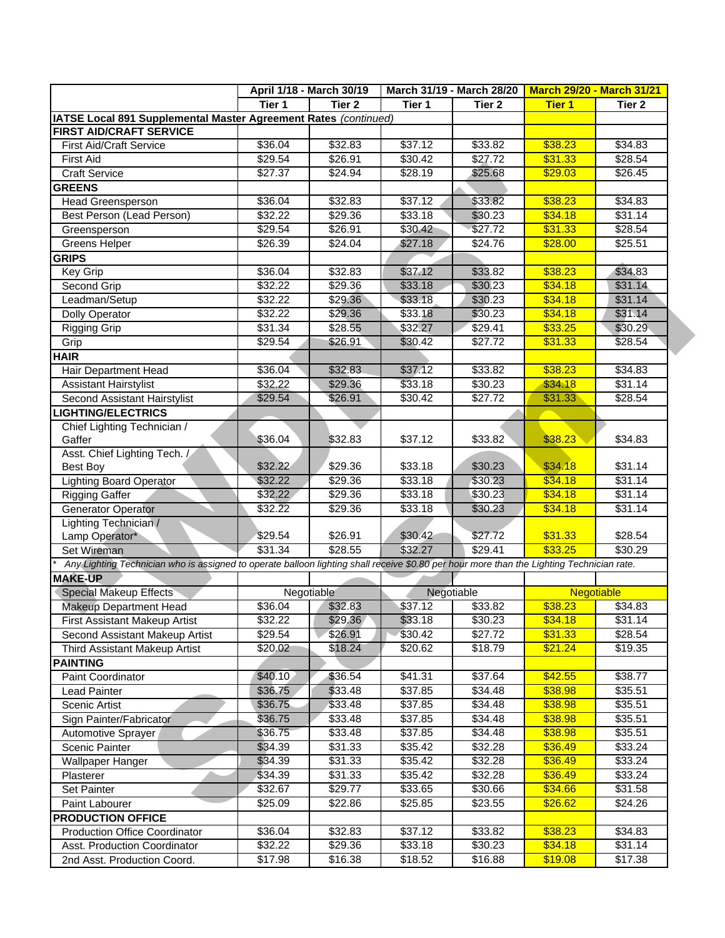|                                                                 |                                                                                                                                           | April 1/18 - March 30/19 |         | March 31/19 - March 28/20 |               | <b>March 29/20 - March 31/21</b> |
|-----------------------------------------------------------------|-------------------------------------------------------------------------------------------------------------------------------------------|--------------------------|---------|---------------------------|---------------|----------------------------------|
|                                                                 | Tier 1                                                                                                                                    | Tier <sub>2</sub>        | Tier 1  | Tier 2                    | <b>Tier 1</b> | Tier 2                           |
| IATSE Local 891 Supplemental Master Agreement Rates (continued) |                                                                                                                                           |                          |         |                           |               |                                  |
| <b>FIRST AID/CRAFT SERVICE</b>                                  |                                                                                                                                           |                          |         |                           |               |                                  |
| <b>First Aid/Craft Service</b>                                  | \$36.04                                                                                                                                   | \$32.83                  | \$37.12 | \$33.82                   | \$38.23       | \$34.83                          |
| <b>First Aid</b>                                                | \$29.54                                                                                                                                   | \$26.91                  | \$30.42 | \$27.72                   | \$31.33       | \$28.54                          |
| <b>Craft Service</b>                                            | \$27.37                                                                                                                                   | \$24.94                  | \$28.19 | \$25.68                   | \$29.03       | \$26.45                          |
| <b>GREENS</b>                                                   |                                                                                                                                           |                          |         |                           |               |                                  |
| Head Greensperson                                               | \$36.04                                                                                                                                   | \$32.83                  | \$37.12 | \$33.82                   | \$38.23       | \$34.83                          |
| Best Person (Lead Person)                                       | \$32.22                                                                                                                                   | \$29.36                  | \$33.18 | \$30.23                   | \$34.18       | \$31.14                          |
| Greensperson                                                    | \$29.54                                                                                                                                   | \$26.91                  | \$30.42 | \$27.72                   | \$31.33       | \$28.54                          |
| <b>Greens Helper</b>                                            | \$26.39                                                                                                                                   | \$24.04                  | \$27.18 | \$24.76                   | \$28.00       | \$25.51                          |
| <b>GRIPS</b>                                                    |                                                                                                                                           |                          |         |                           |               |                                  |
| Key Grip                                                        | \$36.04                                                                                                                                   | \$32.83                  | \$37.12 | \$33.82                   | \$38.23       | \$34.83                          |
| Second Grip                                                     | \$32.22                                                                                                                                   | \$29.36                  | \$33.18 | \$30.23                   | \$34.18       | \$31.14                          |
| Leadman/Setup                                                   | \$32.22                                                                                                                                   | \$29.36                  | \$33.18 | \$30.23                   | \$34.18       | \$31.14                          |
| Dolly Operator                                                  | \$32.22                                                                                                                                   | \$29.36                  | \$33.18 | \$30.23                   | \$34.18       | \$31.14                          |
| <b>Rigging Grip</b>                                             | \$31.34                                                                                                                                   | \$28.55                  | \$32.27 | \$29.41                   | \$33.25       | \$30.29                          |
| Grip                                                            | \$29.54                                                                                                                                   | \$26.91                  | \$30.42 | \$27.72                   | \$31.33       | \$28.54                          |
| HAIR                                                            |                                                                                                                                           |                          |         |                           |               |                                  |
| Hair Department Head                                            | \$36.04                                                                                                                                   | \$32.83                  | \$37.12 | \$33.82                   | \$38.23       | \$34.83                          |
| <b>Assistant Hairstylist</b>                                    | \$32.22                                                                                                                                   | \$29.36                  | \$33.18 | \$30.23                   | \$34.18       | \$31.14                          |
| Second Assistant Hairstylist                                    | \$29.54                                                                                                                                   | \$26.91                  | \$30.42 | \$27.72                   | \$31.33       | \$28.54                          |
| <b>LIGHTING/ELECTRICS</b>                                       |                                                                                                                                           |                          |         |                           |               |                                  |
| Chief Lighting Technician /                                     |                                                                                                                                           |                          |         |                           |               |                                  |
| Gaffer                                                          | \$36.04                                                                                                                                   | \$32.83                  | \$37.12 | \$33.82                   | \$38.23       | \$34.83                          |
| Asst. Chief Lighting Tech. /                                    |                                                                                                                                           |                          |         |                           |               |                                  |
| <b>Best Boy</b>                                                 | \$32.22                                                                                                                                   | \$29.36                  | \$33.18 | \$30.23                   | \$34.18       | \$31.14                          |
| <b>Lighting Board Operator</b>                                  | \$32.22                                                                                                                                   | \$29.36                  | \$33.18 | \$30.23                   | \$34.18       | \$31.14                          |
| <b>Rigging Gaffer</b>                                           | \$32.22                                                                                                                                   | \$29.36                  | \$33.18 | \$30.23                   | \$34.18       | $\sqrt{$31.14}$                  |
| <b>Generator Operator</b>                                       | \$32.22                                                                                                                                   | \$29.36                  | \$33.18 | \$30.23                   | \$34.18       | \$31.14                          |
| Lighting Technician /                                           |                                                                                                                                           |                          |         |                           |               |                                  |
| Lamp Operator*                                                  | \$29.54                                                                                                                                   | \$26.91                  | \$30.42 | \$27.72                   | \$31.33       | \$28.54                          |
| Set Wireman                                                     | \$31.34                                                                                                                                   | \$28.55                  | \$32.27 | \$29.41                   | \$33.25       | \$30.29                          |
|                                                                 |                                                                                                                                           |                          |         |                           |               |                                  |
| <b>MAKE-UP</b>                                                  | Any Lighting Technician who is assigned to operate balloon lighting shall receive \$0.80 per hour more than the Lighting Technician rate. |                          |         |                           |               |                                  |
| <b>Special Makeup Effects</b>                                   |                                                                                                                                           | Negotiable               |         | Negotiable                |               | <b>Negotiable</b>                |
| <b>Makeup Department Head</b>                                   | \$36.04                                                                                                                                   | \$32.83                  | \$37.12 | \$33.82                   | \$38.23       | \$34.83                          |
| <b>First Assistant Makeup Artist</b>                            | \$32.22                                                                                                                                   | \$29.36                  | \$33.18 | \$30.23                   | \$34.18       | \$31.14                          |
| Second Assistant Makeup Artist                                  | \$29.54                                                                                                                                   | \$26.91                  | \$30.42 | \$27.72                   | \$31.33       | \$28.54                          |
| Third Assistant Makeup Artist                                   | \$20.02                                                                                                                                   | \$18.24                  | \$20.62 | \$18.79                   | \$21.24       | \$19.35                          |
| <b>PAINTING</b>                                                 |                                                                                                                                           |                          |         |                           |               |                                  |
| Paint Coordinator                                               | \$40.10                                                                                                                                   | \$36.54                  | \$41.31 | \$37.64                   | \$42.55       | \$38.77                          |
| <b>Lead Painter</b>                                             | \$36.75                                                                                                                                   | \$33.48                  | \$37.85 | \$34.48                   | \$38.98       | \$35.51                          |
| Scenic Artist                                                   | \$36.75                                                                                                                                   | \$33.48                  | \$37.85 | \$34.48                   | \$38.98       | \$35.51                          |
| Sign Painter/Fabricator                                         | \$36.75                                                                                                                                   | \$33.48                  | \$37.85 | \$34.48                   | \$38.98       | \$35.51                          |
| Automotive Sprayer                                              | \$36.75                                                                                                                                   | \$33.48                  | \$37.85 | \$34.48                   | \$38.98       | \$35.51                          |
| Scenic Painter                                                  |                                                                                                                                           |                          | \$35.42 |                           |               | \$33.24                          |
|                                                                 | \$34.39                                                                                                                                   | \$31.33                  |         | \$32.28                   | \$36.49       |                                  |
| Wallpaper Hanger                                                | \$34.39                                                                                                                                   | \$31.33                  | \$35.42 | \$32.28                   | \$36.49       | \$33.24                          |
| Plasterer                                                       | \$34.39                                                                                                                                   | \$31.33                  | \$35.42 | \$32.28                   | \$36.49       | \$33.24                          |
| <b>Set Painter</b>                                              | \$32.67                                                                                                                                   | \$29.77                  | \$33.65 | \$30.66                   | \$34.66       | \$31.58                          |
| Paint Labourer                                                  | \$25.09                                                                                                                                   | \$22.86                  | \$25.85 | \$23.55                   | \$26.62       | \$24.26                          |
| <b>PRODUCTION OFFICE</b>                                        |                                                                                                                                           |                          |         |                           |               |                                  |
| <b>Production Office Coordinator</b>                            | \$36.04                                                                                                                                   | \$32.83                  | \$37.12 | \$33.82                   | \$38.23       | \$34.83                          |
| Asst. Production Coordinator                                    | \$32.22                                                                                                                                   | \$29.36                  | \$33.18 | \$30.23                   | \$34.18       | \$31.14                          |
| 2nd Asst. Production Coord.                                     | \$17.98                                                                                                                                   | \$16.38                  | \$18.52 | \$16.88                   | \$19.08       | \$17.38                          |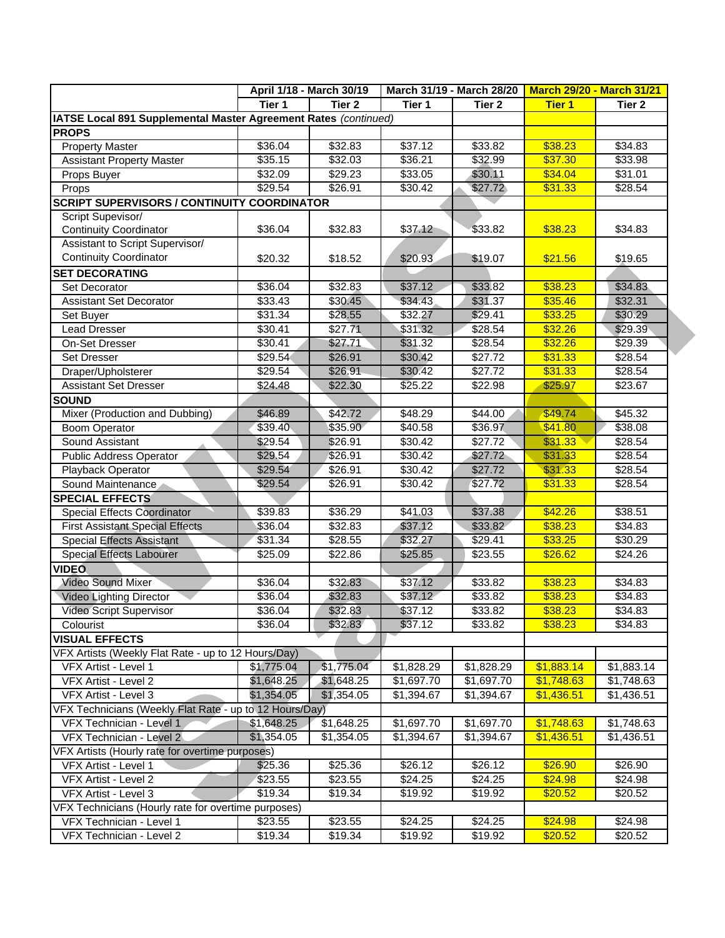|                                                                 |            | April 1/18 - March 30/19 | March 31/19 - March 28/20 |            |               | <b>March 29/20 - March 31/21</b> |  |
|-----------------------------------------------------------------|------------|--------------------------|---------------------------|------------|---------------|----------------------------------|--|
|                                                                 | Tier 1     | Tier <sub>2</sub>        | Tier 1                    | Tier 2     | <b>Tier 1</b> | Tier <sub>2</sub>                |  |
| IATSE Local 891 Supplemental Master Agreement Rates (continued) |            |                          |                           |            |               |                                  |  |
| <b>PROPS</b>                                                    |            |                          |                           |            |               |                                  |  |
| <b>Property Master</b>                                          | \$36.04    | \$32.83                  | \$37.12                   | \$33.82    | \$38.23       | \$34.83                          |  |
| <b>Assistant Property Master</b>                                | \$35.15    | \$32.03                  | \$36.21                   | \$32.99    | \$37.30       | \$33.98                          |  |
| Props Buyer                                                     | \$32.09    | \$29.23                  | \$33.05                   | \$30.11    | \$34.04       | \$31.01                          |  |
| Props                                                           | \$29.54    | \$26.91                  | \$30.42                   | \$27.72    | \$31.33       | \$28.54                          |  |
| <b>SCRIPT SUPERVISORS / CONTINUITY COORDINATOR</b>              |            |                          |                           |            |               |                                  |  |
| Script Supevisor/                                               |            |                          |                           |            |               |                                  |  |
| <b>Continuity Coordinator</b>                                   | \$36.04    | \$32.83                  | \$37.12                   | \$33.82    | \$38.23       | \$34.83                          |  |
| Assistant to Script Supervisor/                                 |            |                          |                           |            |               |                                  |  |
| <b>Continuity Coordinator</b>                                   | \$20.32    | \$18.52                  | \$20.93                   | \$19.07    | \$21.56       | \$19.65                          |  |
| <b>SET DECORATING</b>                                           |            |                          |                           |            |               |                                  |  |
| Set Decorator                                                   | \$36.04    | \$32.83                  | \$37.12                   | \$33.82    | \$38.23       | \$34.83                          |  |
| <b>Assistant Set Decorator</b>                                  | \$33.43    | \$30.45                  | \$34.43                   | \$31.37    | \$35.46       | \$32.31                          |  |
| Set Buyer                                                       | \$31.34    | \$28.55                  | \$32.27                   | \$29.41    | \$33.25       | \$30.29                          |  |
| <b>Lead Dresser</b>                                             | \$30.41    | \$27.71                  | \$31.32                   | \$28.54    | \$32.26       | \$29.39                          |  |
| On-Set Dresser                                                  | \$30.41    | \$27.71                  | \$31.32                   | \$28.54    | \$32.26       | \$29.39                          |  |
| Set Dresser                                                     | \$29.54    | \$26.91                  | \$30.42                   | \$27.72    | \$31.33       | \$28.54                          |  |
| Draper/Upholsterer                                              | \$29.54    | \$26.91                  | \$30.42                   | \$27.72    | \$31.33       | \$28.54                          |  |
| <b>Assistant Set Dresser</b>                                    | \$24.48    | \$22.30                  | \$25.22                   | \$22.98    | \$25.97       | \$23.67                          |  |
| <b>SOUND</b>                                                    |            |                          |                           |            |               |                                  |  |
| Mixer (Production and Dubbing)                                  | \$46.89    | \$42.72                  | \$48.29                   | \$44.00    | \$49.74       | \$45.32                          |  |
| <b>Boom Operator</b>                                            | \$39.40    | \$35.90                  | \$40.58                   | \$36.97    | \$41.80       | \$38.08                          |  |
| Sound Assistant                                                 | \$29.54    | \$26.91                  | \$30.42                   | \$27.72    | \$31.33       | \$28.54                          |  |
| Public Address Operator                                         | \$29.54    | \$26.91                  | \$30.42                   | \$27.72    | \$31.33       | \$28.54                          |  |
| Playback Operator                                               | \$29.54    | \$26.91                  | \$30.42                   | \$27.72    | \$31.33       | \$28.54                          |  |
| Sound Maintenance                                               | \$29.54    | \$26.91                  | \$30.42                   | \$27.72    | \$31.33       | \$28.54                          |  |
| <b>SPECIAL EFFECTS</b>                                          |            |                          |                           |            |               |                                  |  |
| Special Effects Coordinator                                     | \$39.83    | \$36.29                  | $\sqrt{$41.03}$           | \$37.38    | \$42.26       | \$38.51                          |  |
| <b>First Assistant Special Effects</b>                          | \$36.04    | \$32.83                  | \$37.12                   | \$33.82    | \$38.23       | \$34.83                          |  |
| <b>Special Effects Assistant</b>                                | \$31.34    | \$28.55                  | \$32.27                   | \$29.41    | \$33.25       | \$30.29                          |  |
| <b>Special Effects Labourer</b>                                 | \$25.09    | \$22.86                  | \$25.85                   | \$23.55    | \$26.62       | \$24.26                          |  |
| <b>VIDEO</b>                                                    |            |                          |                           |            |               |                                  |  |
| <b>Video Sound Mixer</b>                                        | \$36.04    | \$32.83                  | \$37.12                   | \$33.82    | \$38.23       | \$34.83                          |  |
| <b>Video Lighting Director</b>                                  | \$36.04    | \$32.83                  | \$37.12                   | \$33.82    | \$38.23       | \$34.83                          |  |
| Video Script Supervisor                                         | \$36.04    | \$32.83                  | \$37.12                   | \$33.82    | \$38.23       | \$34.83                          |  |
| Colourist                                                       | \$36.04    | \$32.83                  | \$37.12                   | \$33.82    | \$38.23       | \$34.83                          |  |
| <b>VISUAL EFFECTS</b>                                           |            |                          |                           |            |               |                                  |  |
| VFX Artists (Weekly Flat Rate - up to 12 Hours/Day)             |            |                          |                           |            |               |                                  |  |
| VFX Artist - Level 1                                            | \$1,775.04 | \$1,775.04               | \$1,828.29                | \$1,828.29 | \$1,883.14    | \$1,883.14                       |  |
| VFX Artist - Level 2                                            | \$1,648.25 | \$1,648.25               | \$1,697.70                | \$1,697.70 | \$1,748.63    | \$1,748.63                       |  |
| VFX Artist - Level 3                                            | \$1,354.05 | \$1,354.05               | \$1,394.67                | \$1,394.67 | \$1,436.51    | \$1,436.51                       |  |
| VFX Technicians (Weekly Flat Rate - up to 12 Hours/Day)         |            |                          |                           |            |               |                                  |  |
| VFX Technician - Level 1                                        | \$1,648.25 | \$1,648.25               | \$1,697.70                | \$1,697.70 | \$1,748.63    | \$1,748.63                       |  |
| VFX Technician - Level 2                                        | \$1,354.05 | \$1,354.05               | \$1,394.67                | \$1,394.67 | \$1,436.51    | \$1,436.51                       |  |
| VFX Artists (Hourly rate for overtime purposes)                 |            |                          |                           |            |               |                                  |  |
| VFX Artist - Level 1                                            | \$25.36    | \$25.36                  | \$26.12                   | \$26.12    | \$26.90       | \$26.90                          |  |
| VFX Artist - Level 2                                            | \$23.55    | \$23.55                  | \$24.25                   | \$24.25    | \$24.98       | \$24.98                          |  |
| VFX Artist - Level 3                                            | \$19.34    | \$19.34                  | \$19.92                   | \$19.92    | \$20.52       | \$20.52                          |  |
| VFX Technicians (Hourly rate for overtime purposes)             |            |                          |                           |            |               |                                  |  |
| VFX Technician - Level 1                                        | \$23.55    | \$23.55                  | \$24.25                   | \$24.25    | \$24.98       | \$24.98                          |  |
| VFX Technician - Level 2                                        | \$19.34    | \$19.34                  | \$19.92                   | \$19.92    | \$20.52       | \$20.52                          |  |
|                                                                 |            |                          |                           |            |               |                                  |  |